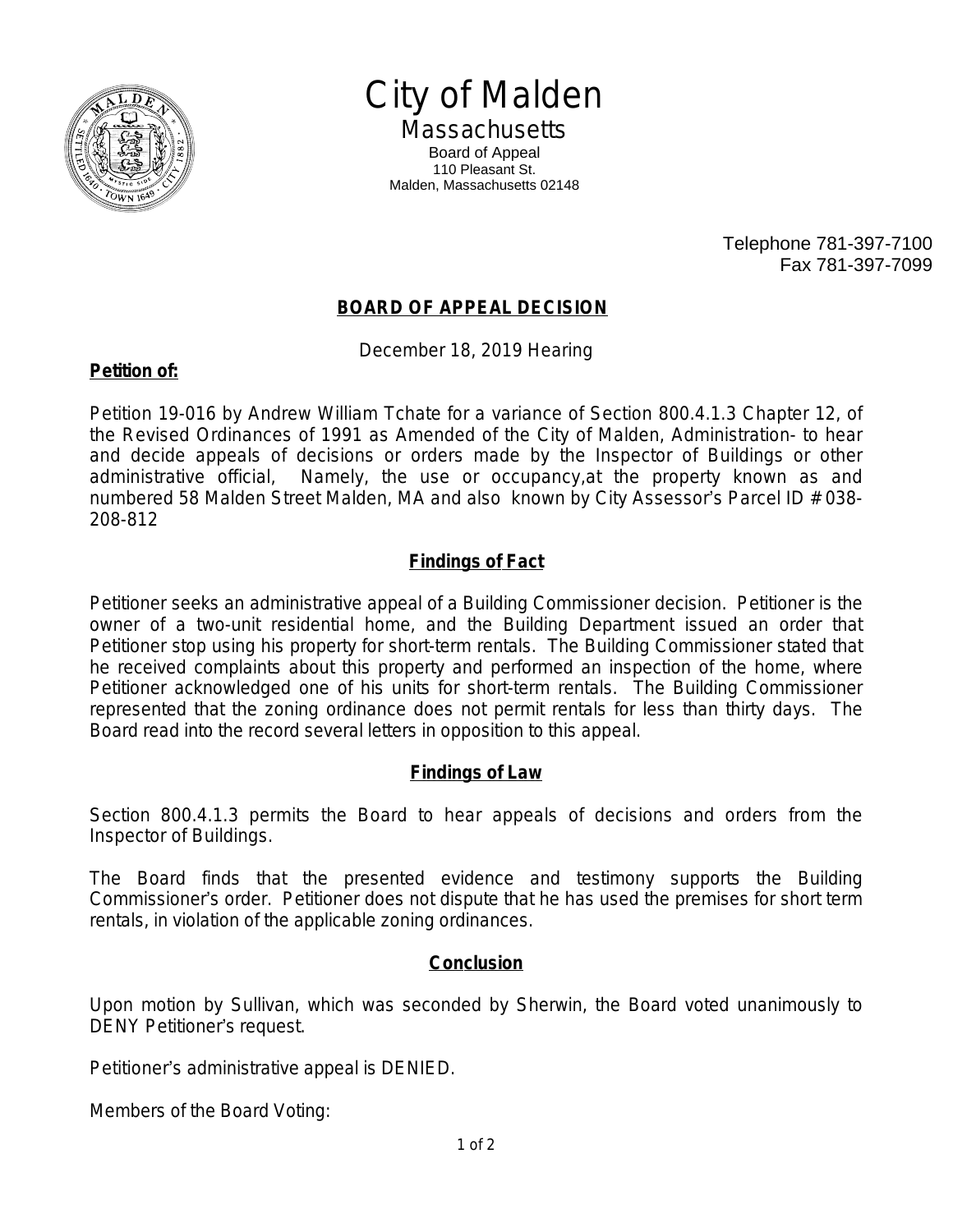

City of Malden **Massachusetts** Board of Appeal

> 110 Pleasant St. Malden, Massachusetts 02148

> > Telephone 781-397-7100 Fax 781-397-7099

# **BOARD OF APPEAL DECISION**

December 18, 2019 Hearing

## **Petition of:**

Petition 19-016 by Andrew William Tchate for a variance of Section 800.4.1.3 Chapter 12, of the Revised Ordinances of 1991 as Amended of the City of Malden, Administration- to hear and decide appeals of decisions or orders made by the Inspector of Buildings or other administrative official, Namely, the use or occupancy,at the property known as and numbered 58 Malden Street Malden, MA and also known by City Assessor's Parcel ID # 038-208-812

# **Findings of Fact**

Petitioner seeks an administrative appeal of a Building Commissioner decision. Petitioner is the owner of a two-unit residential home, and the Building Department issued an order that Petitioner stop using his property for short-term rentals. The Building Commissioner stated that he received complaints about this property and performed an inspection of the home, where Petitioner acknowledged one of his units for short-term rentals. The Building Commissioner represented that the zoning ordinance does not permit rentals for less than thirty days. The Board read into the record several letters in opposition to this appeal.

## **Findings of Law**

Section 800.4.1.3 permits the Board to hear appeals of decisions and orders from the Inspector of Buildings.

The Board finds that the presented evidence and testimony supports the Building Commissioner's order. Petitioner does not dispute that he has used the premises for short term rentals, in violation of the applicable zoning ordinances.

## **Conclusion**

Upon motion by Sullivan, which was seconded by Sherwin, the Board voted unanimously to DENY Petitioner's request.

Petitioner's administrative appeal is DENIED.

Members of the Board Voting: